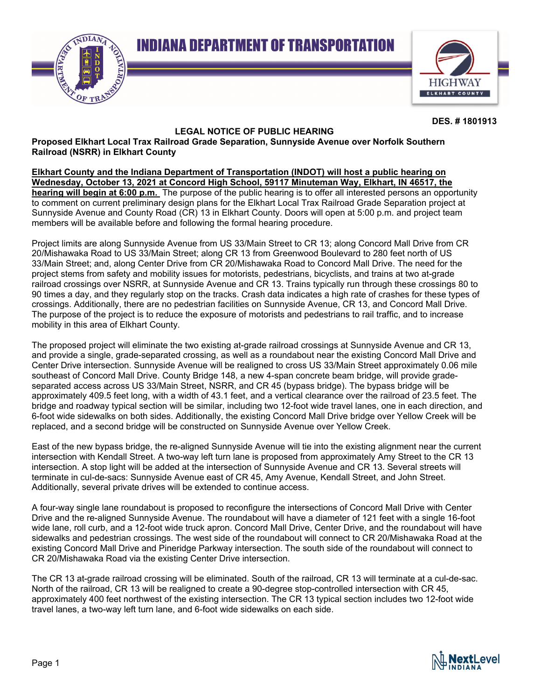**INDIANA DEPARTMENT OF TRANSPORTATION** 





**DES. # 1801913** 

## **LEGAL NOTICE OF PUBLIC HEARING**

**Proposed Elkhart Local Trax Railroad Grade Separation, Sunnyside Avenue over Norfolk Southern Railroad (NSRR) in Elkhart County** 

**Elkhart County and the Indiana Department of Transportation (INDOT) will host a public hearing on Wednesday, October 13, 2021 at Concord High School, 59117 Minuteman Way, Elkhart, IN 46517, the hearing will begin at 6:00 p.m.** The purpose of the public hearing is to offer all interested persons an opportunity to comment on current preliminary design plans for the Elkhart Local Trax Railroad Grade Separation project at Sunnyside Avenue and County Road (CR) 13 in Elkhart County. Doors will open at 5:00 p.m. and project team members will be available before and following the formal hearing procedure.

Project limits are along Sunnyside Avenue from US 33/Main Street to CR 13; along Concord Mall Drive from CR 20/Mishawaka Road to US 33/Main Street; along CR 13 from Greenwood Boulevard to 280 feet north of US 33/Main Street; and, along Center Drive from CR 20/Mishawaka Road to Concord Mall Drive. The need for the project stems from safety and mobility issues for motorists, pedestrians, bicyclists, and trains at two at-grade railroad crossings over NSRR, at Sunnyside Avenue and CR 13. Trains typically run through these crossings 80 to 90 times a day, and they regularly stop on the tracks. Crash data indicates a high rate of crashes for these types of crossings. Additionally, there are no pedestrian facilities on Sunnyside Avenue, CR 13, and Concord Mall Drive. The purpose of the project is to reduce the exposure of motorists and pedestrians to rail traffic, and to increase mobility in this area of Elkhart County.

The proposed project will eliminate the two existing at-grade railroad crossings at Sunnyside Avenue and CR 13, and provide a single, grade-separated crossing, as well as a roundabout near the existing Concord Mall Drive and Center Drive intersection. Sunnyside Avenue will be realigned to cross US 33/Main Street approximately 0.06 mile southeast of Concord Mall Drive. County Bridge 148, a new 4-span concrete beam bridge, will provide gradeseparated access across US 33/Main Street, NSRR, and CR 45 (bypass bridge). The bypass bridge will be approximately 409.5 feet long, with a width of 43.1 feet, and a vertical clearance over the railroad of 23.5 feet. The bridge and roadway typical section will be similar, including two 12-foot wide travel lanes, one in each direction, and 6-foot wide sidewalks on both sides. Additionally, the existing Concord Mall Drive bridge over Yellow Creek will be replaced, and a second bridge will be constructed on Sunnyside Avenue over Yellow Creek.

East of the new bypass bridge, the re-aligned Sunnyside Avenue will tie into the existing alignment near the current intersection with Kendall Street. A two-way left turn lane is proposed from approximately Amy Street to the CR 13 intersection. A stop light will be added at the intersection of Sunnyside Avenue and CR 13. Several streets will terminate in cul-de-sacs: Sunnyside Avenue east of CR 45, Amy Avenue, Kendall Street, and John Street. Additionally, several private drives will be extended to continue access.

A four-way single lane roundabout is proposed to reconfigure the intersections of Concord Mall Drive with Center Drive and the re-aligned Sunnyside Avenue. The roundabout will have a diameter of 121 feet with a single 16-foot wide lane, roll curb, and a 12-foot wide truck apron. Concord Mall Drive, Center Drive, and the roundabout will have sidewalks and pedestrian crossings. The west side of the roundabout will connect to CR 20/Mishawaka Road at the existing Concord Mall Drive and Pineridge Parkway intersection. The south side of the roundabout will connect to CR 20/Mishawaka Road via the existing Center Drive intersection.

The CR 13 at-grade railroad crossing will be eliminated. South of the railroad, CR 13 will terminate at a cul-de-sac. North of the railroad, CR 13 will be realigned to create a 90-degree stop-controlled intersection with CR 45, approximately 400 feet northwest of the existing intersection. The CR 13 typical section includes two 12-foot wide travel lanes, a two-way left turn lane, and 6-foot wide sidewalks on each side.